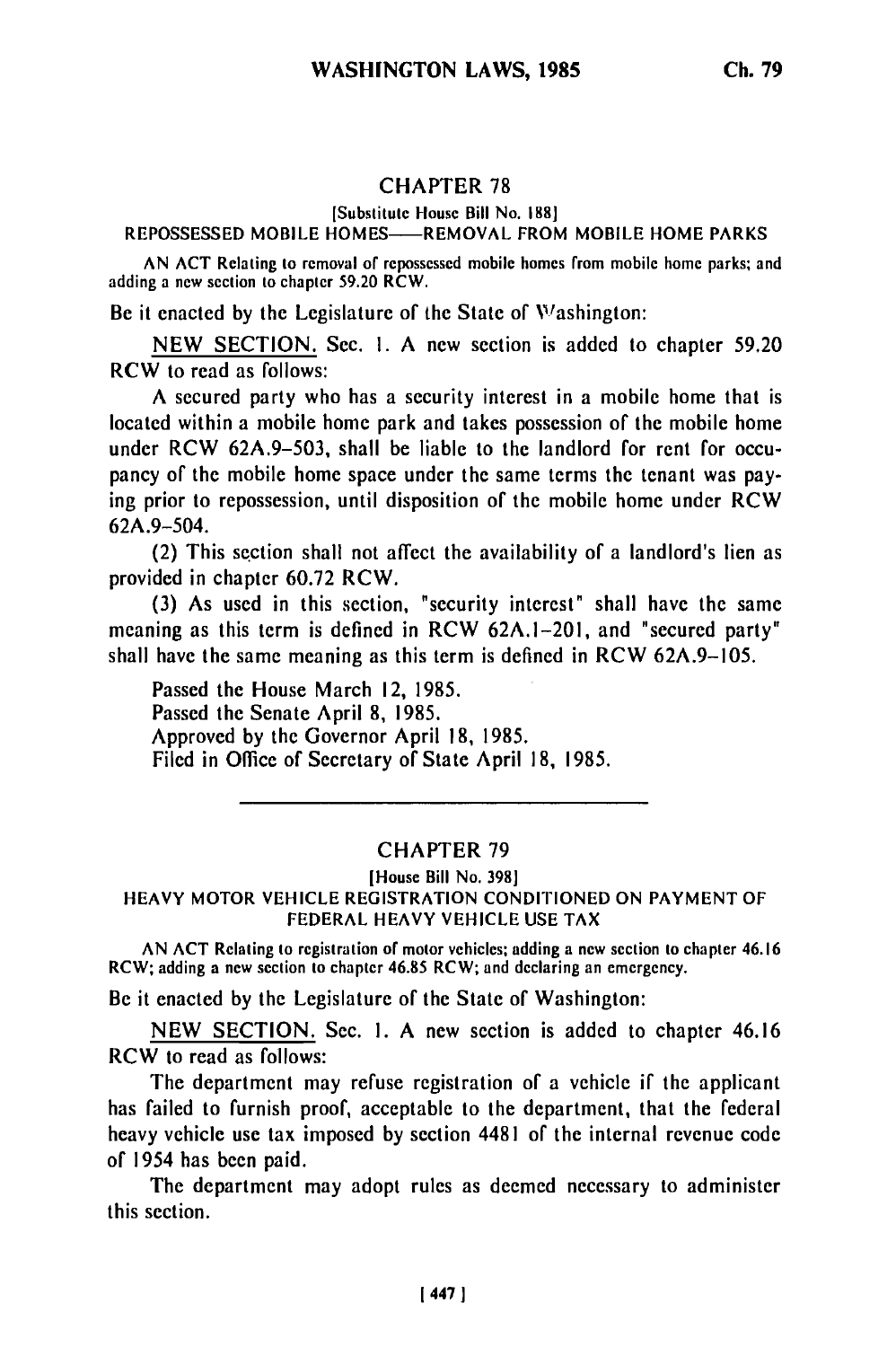# CHAPTER **78**

### [Substitute House Bill No. **1881**

## REPOSSESSED MOBILE HOMES-REMOVAL FROM MOBILE HOME PARKS

AN ACT Relating to removal of repossessed mobile homes from mobile home parks; and adding a new section to chapter 59.20 RCW.

Be it enacted by the Legislature of the State of Washington:

NEW SECTION. Sec. I. A new section is added to chapter 59.20 RCW to read as follows:

A secured party who has a security interest in a mobile home that is located within a mobile home park and takes possession of the mobile home under RCW 62A.9-503, shall be liable to the landlord for rent for occupancy of the mobile home space under the same terms the tenant was paying prior to repossession, until disposition of the mobile home under RCW 62A.9-504.

(2) This section shall not affect the availability of a landlord's lien as provided in chapter 60.72 RCW.

(3) As used in this section, "security interest" shall have the same meaning as this term is defined in RCW 62A.1-201, and "secured party" shall have the same meaning as this term is defined in RCW 62A.9-105.

Passed the House March 12, 1985. Passed the Senate April 8, 1985. Approved by the Governor April 18, 1985. Filed in Office of Secretary of State April 18, 1985.

# CHAPTER 79

#### (House Bill No. 398] HEAVY MOTOR VEHICLE REGISTRATION CONDITIONED ON PAYMENT OF FEDERAL HEAVY VEHICLE USE TAX

AN ACT Relating to registration of motor vehicles; adding a new section to chapter 46.16 RCW; adding a new section to chapter 46.85 RCW; and declaring an emergency.

Be it enacted by the Legislature of the State of Washington:

NEW SECTION. Sec. I. A new section is added to chapter 46.16 RCW to read as follows:

The department may refuse registration of a vehicle if the applicant has failed to furnish proof, acceptable to the department, that the federal heavy vehicle use tax imposed by section 4481 of the internal revenue code of 1954 has been paid.

The department may adopt rules as deemed necessary to administer this section.